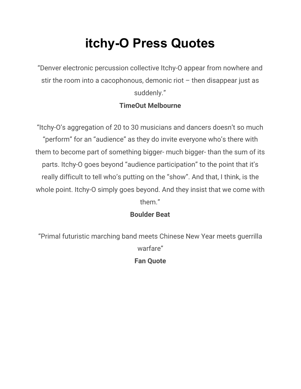# **itchy-O Press Quotes**

"Denver electronic percussion collective Itchy-O appear from nowhere and stir the room into a cacophonous, demonic riot – then disappear just as suddenly."

# **TimeOut Melbourne**

"Itchy-O's aggregation of 20 to 30 musicians and dancers doesn't so much "perform" for an "audience" as they do invite everyone who's there with them to become part of something bigger- much bigger- than the sum of its parts. Itchy-O goes beyond "audience participation" to the point that it's really difficult to tell who's putting on the "show". And that, I think, is the whole point. Itchy-O simply goes beyond. And they insist that we come with them."

## **Boulder Beat**

"Primal futuristic marching band meets Chinese New Year meets guerrilla warfare" **Fan Quote**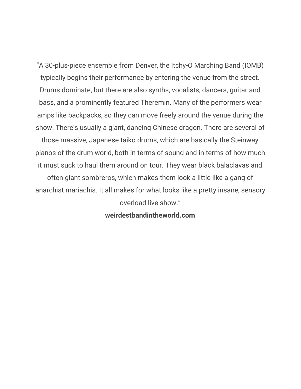"A 30-plus-piece ensemble from Denver, the Itchy-O Marching Band (IOMB) typically begins their performance by entering the venue from the street. Drums dominate, but there are also synths, vocalists, dancers, guitar and bass, and a prominently featured Theremin. Many of the performers wear amps like backpacks, so they can move freely around the venue during the show. There's usually a giant, dancing Chinese dragon. There are several of those massive, Japanese taiko drums, which are basically the Steinway pianos of the drum world, both in terms of sound and in terms of how much

it must suck to haul them around on tour. They wear black balaclavas and often giant sombreros, which makes them look a little like a gang of anarchist mariachis. It all makes for what looks like a pretty insane, sensory overload live show."

#### **weirdestbandintheworld.com**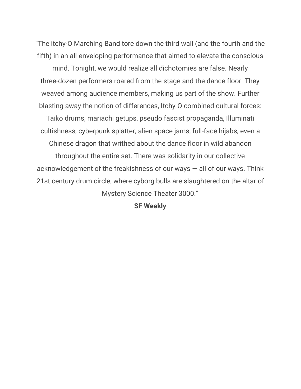"The itchy-O Marching Band tore down the third wall (and the fourth and the fifth) in an all-enveloping performance that aimed to elevate the conscious

mind. Tonight, we would realize all dichotomies are false. Nearly three-dozen performers roared from the stage and the dance floor. They weaved among audience members, making us part of the show. Further blasting away the notion of differences, Itchy-O combined cultural forces:

Taiko drums, mariachi getups, pseudo fascist propaganda, Illuminati cultishness, cyberpunk splatter, alien space jams, full-face hijabs, even a

Chinese dragon that writhed about the dance floor in wild abandon

throughout the entire set. There was solidarity in our collective acknowledgement of the freakishness of our ways  $-$  all of our ways. Think 21st century drum circle, where cyborg bulls are slaughtered on the altar of Mystery Science Theater 3000."

**SF Weekly**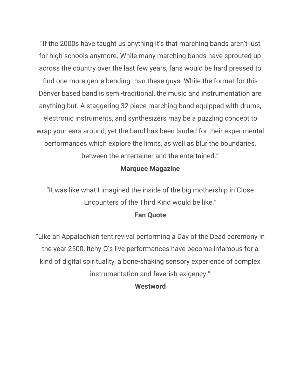"If the 2000s have taught us anything it's that marching bands aren't just for high schools anymore. While many marching bands have sprouted up across the country over the last few years, fans would be hard pressed to find one more genre bending than these guys. While the format for this Denver based band is semi-traditional, the music and instrumentation are anything but. A staggering 32 piece marching band equipped with drums, electronic instruments, and synthesizers may be a puzzling concept to wrap your ears around, yet the band has been lauded for their experimental performances which explore the limits, as well as blur the boundaries, between the entertainer and the entertained."

## **Marquee Magazine**

"It was like what I imagined the inside of the big mothership in Close Encounters of the Third Kind would be like."

### **Fan Quote**

"Like an Appalachian tent revival performing a Day of the Dead ceremony in the year 2500, Itchy-O's live performances have become infamous for a kind of digital spirituality, a bone-shaking sensory experience of complex instrumentation and feverish exigency."

#### **Westword**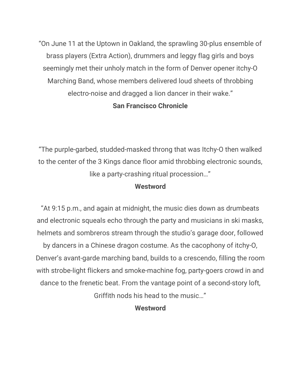"On June 11 at the Uptown in Oakland, the sprawling 30-plus ensemble of brass players (Extra Action), drummers and leggy flag girls and boys seemingly met their unholy match in the form of Denver opener itchy-O Marching Band, whose members delivered loud sheets of throbbing electro-noise and dragged a lion dancer in their wake." **San Francisco Chronicle**

"The purple-garbed, studded-masked throng that was Itchy-O then walked to the center of the 3 Kings dance floor amid throbbing electronic sounds, like a party-crashing ritual procession…"

#### **Westword**

"At 9:15 p.m., and again at midnight, the music dies down as drumbeats and electronic squeals echo through the party and musicians in ski masks, helmets and sombreros stream through the studio's garage door, followed

by dancers in a Chinese dragon costume. As the cacophony of itchy-O, Denver's avant-garde marching band, builds to a crescendo, filling the room with strobe-light flickers and smoke-machine fog, party-goers crowd in and dance to the frenetic beat. From the vantage point of a second-story loft,

Griffith nods his head to the music…"

### **Westword**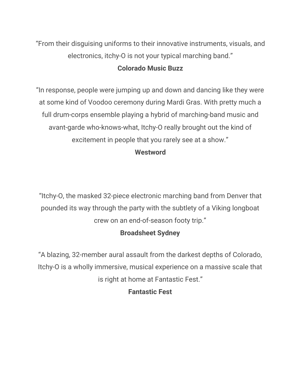"From their disguising uniforms to their innovative instruments, visuals, and electronics, itchy-O is not your typical marching band."

## **Colorado Music Buzz**

"In response, people were jumping up and down and dancing like they were at some kind of Voodoo ceremony during Mardi Gras. With pretty much a full drum-corps ensemble playing a hybrid of marching-band music and avant-garde who-knows-what, Itchy-O really brought out the kind of excitement in people that you rarely see at a show."

## **Westword**

"Itchy-O, the masked 32-piece electronic marching band from Denver that pounded its way through the party with the subtlety of a Viking longboat crew on an end-of-season footy trip."

# **Broadsheet Sydney**

"A blazing, 32-member aural assault from the darkest depths of Colorado, Itchy-O is a wholly immersive, musical experience on a massive scale that is right at home at Fantastic Fest."

## **Fantastic Fest**